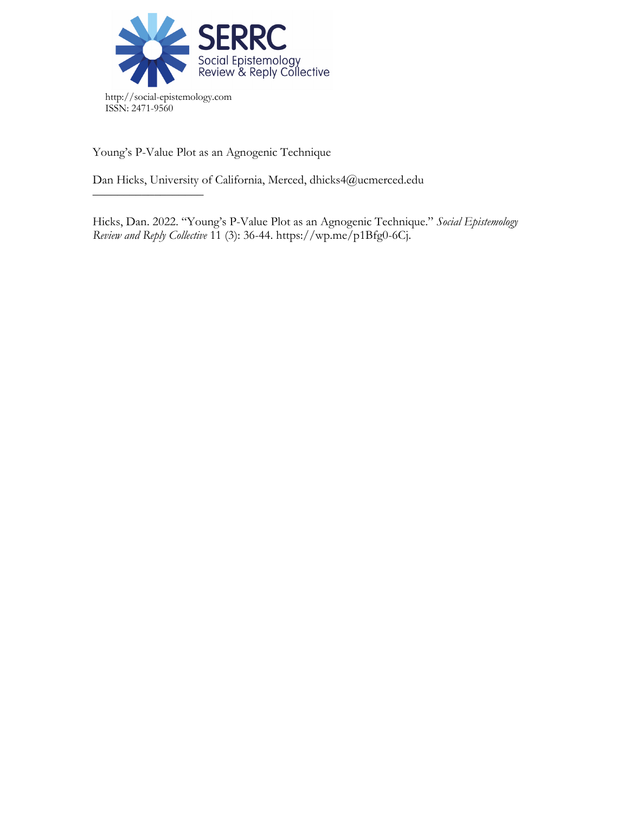

Young's P-Value Plot as an Agnogenic Technique

––––––––––––––––––

Dan Hicks, University of California, Merced, dhicks4@ucmerced.edu

Hicks, Dan. 2022. "Young's P-Value Plot as an Agnogenic Technique." *Social Epistemology Review and Reply Collective* 11 (3): 36-44. https://wp.me/p1Bfg0-6Cj.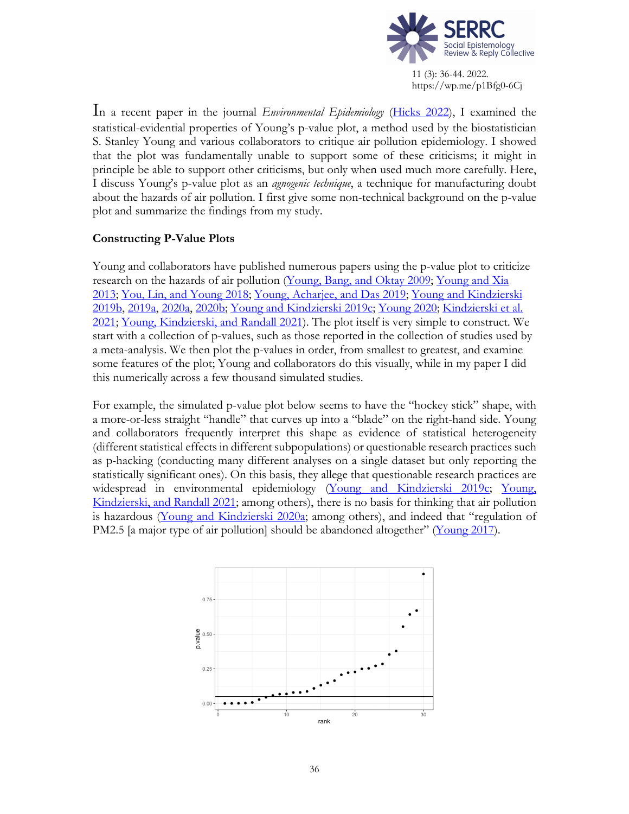

In a recent paper in the journal *Environmental Epidemiology* (Hicks 2022), I examined the statistical-evidential properties of Young's p-value plot, a method used by the biostatistician S. Stanley Young and various collaborators to critique air pollution epidemiology. I showed that the plot was fundamentally unable to support some of these criticisms; it might in principle be able to support other criticisms, but only when used much more carefully. Here, I discuss Young's p-value plot as an *agnogenic technique*, a technique for manufacturing doubt about the hazards of air pollution. I first give some non-technical background on the p-value plot and summarize the findings from my study.

# **Constructing P-Value Plots**

Young and collaborators have published numerous papers using the p-value plot to criticize research on the hazards of air pollution (Young, Bang, and Oktay 2009; Young and Xia 2013; You, Lin, and Young 2018; Young, Acharjee, and Das 2019; Young and Kindzierski 2019b, 2019a, 2020a, 2020b; Young and Kindzierski 2019c; Young 2020; Kindzierski et al. 2021; Young, Kindzierski, and Randall 2021). The plot itself is very simple to construct. We start with a collection of p-values, such as those reported in the collection of studies used by a meta-analysis. We then plot the p-values in order, from smallest to greatest, and examine some features of the plot; Young and collaborators do this visually, while in my paper I did this numerically across a few thousand simulated studies.

For example, the simulated p-value plot below seems to have the "hockey stick" shape, with a more-or-less straight "handle" that curves up into a "blade" on the right-hand side. Young and collaborators frequently interpret this shape as evidence of statistical heterogeneity (different statistical effects in different subpopulations) or questionable research practices such as p-hacking (conducting many different analyses on a single dataset but only reporting the statistically significant ones). On this basis, they allege that questionable research practices are widespread in environmental epidemiology (Young and Kindzierski 2019c; Young, Kindzierski, and Randall 2021; among others), there is no basis for thinking that air pollution is hazardous (Young and Kindzierski 2020a; among others), and indeed that "regulation of PM2.5 [a major type of air pollution] should be abandoned altogether" (Young 2017).

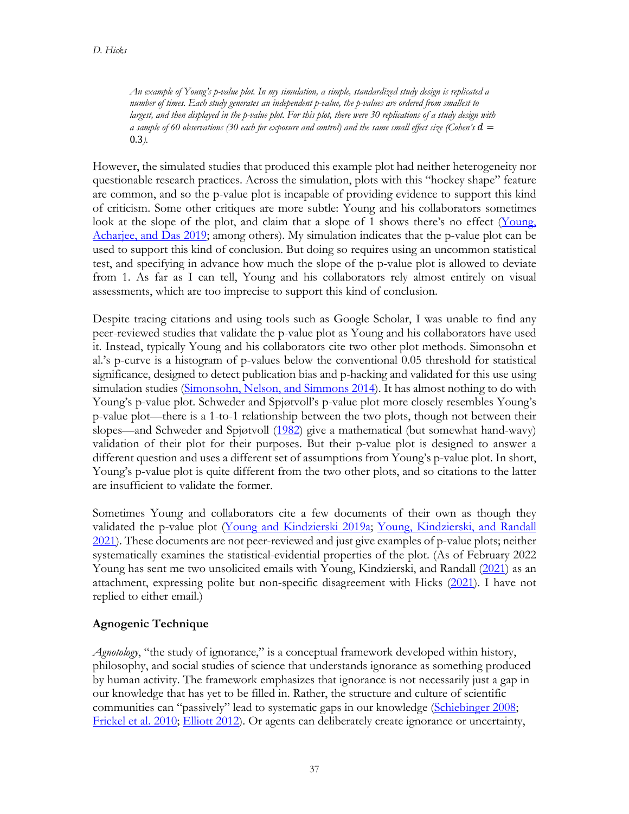*An example of Young's p-value plot. In my simulation, a simple, standardized study design is replicated a number of times. Each study generates an independent p-value, the p-values are ordered from smallest to largest, and then displayed in the p-value plot. For this plot, there were 30 replications of a study design with a sample of 60 observations (30 each for exposure and control) and the same small effect size (Cohen's*  $d =$ 0.3*).*

However, the simulated studies that produced this example plot had neither heterogeneity nor questionable research practices. Across the simulation, plots with this "hockey shape" feature are common, and so the p-value plot is incapable of providing evidence to support this kind of criticism. Some other critiques are more subtle: Young and his collaborators sometimes look at the slope of the plot, and claim that a slope of 1 shows there's no effect (Young, Acharjee, and Das 2019; among others). My simulation indicates that the p-value plot can be used to support this kind of conclusion. But doing so requires using an uncommon statistical test, and specifying in advance how much the slope of the p-value plot is allowed to deviate from 1. As far as I can tell, Young and his collaborators rely almost entirely on visual assessments, which are too imprecise to support this kind of conclusion.

Despite tracing citations and using tools such as Google Scholar, I was unable to find any peer-reviewed studies that validate the p-value plot as Young and his collaborators have used it. Instead, typically Young and his collaborators cite two other plot methods. Simonsohn et al.'s p-curve is a histogram of p-values below the conventional 0.05 threshold for statistical significance, designed to detect publication bias and p-hacking and validated for this use using simulation studies (Simonsohn, Nelson, and Simmons 2014). It has almost nothing to do with Young's p-value plot. Schweder and Spjøtvoll's p-value plot more closely resembles Young's p-value plot—there is a 1-to-1 relationship between the two plots, though not between their slopes—and Schweder and Spjøtvoll (1982) give a mathematical (but somewhat hand-wavy) validation of their plot for their purposes. But their p-value plot is designed to answer a different question and uses a different set of assumptions from Young's p-value plot. In short, Young's p-value plot is quite different from the two other plots, and so citations to the latter are insufficient to validate the former.

Sometimes Young and collaborators cite a few documents of their own as though they validated the p-value plot (Young and Kindzierski 2019a; Young, Kindzierski, and Randall 2021). These documents are not peer-reviewed and just give examples of p-value plots; neither systematically examines the statistical-evidential properties of the plot. (As of February 2022 Young has sent me two unsolicited emails with Young, Kindzierski, and Randall (2021) as an attachment, expressing polite but non-specific disagreement with Hicks (2021). I have not replied to either email.)

# **Agnogenic Technique**

*Agnotology*, "the study of ignorance," is a conceptual framework developed within history, philosophy, and social studies of science that understands ignorance as something produced by human activity. The framework emphasizes that ignorance is not necessarily just a gap in our knowledge that has yet to be filled in. Rather, the structure and culture of scientific communities can "passively" lead to systematic gaps in our knowledge (Schiebinger 2008; Frickel et al. 2010; Elliott 2012). Or agents can deliberately create ignorance or uncertainty,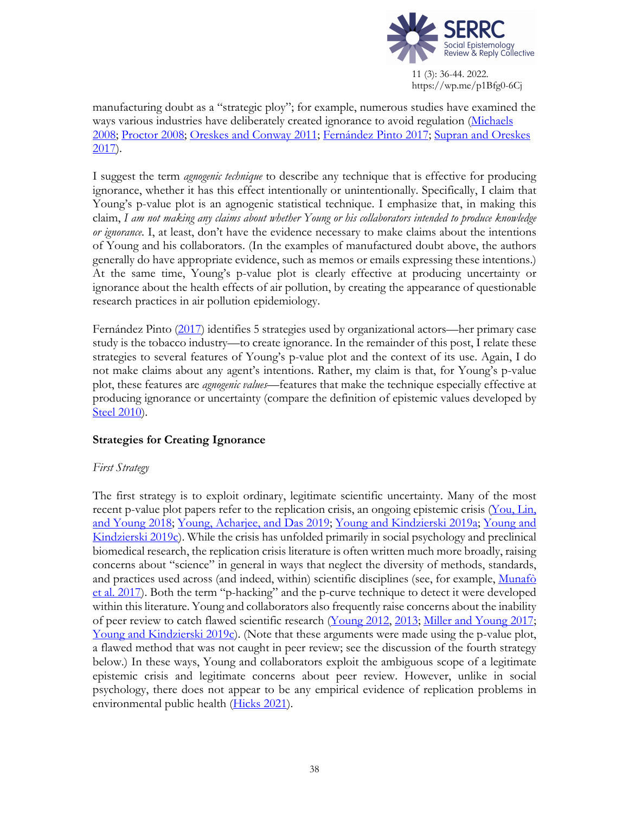

manufacturing doubt as a "strategic ploy"; for example, numerous studies have examined the ways various industries have deliberately created ignorance to avoid regulation (Michaels 2008; Proctor 2008; Oreskes and Conway 2011; Fernández Pinto 2017; Supran and Oreskes 2017).

I suggest the term *agnogenic technique* to describe any technique that is effective for producing ignorance, whether it has this effect intentionally or unintentionally. Specifically, I claim that Young's p-value plot is an agnogenic statistical technique. I emphasize that, in making this claim, *I am not making any claims about whether Young or his collaborators intended to produce knowledge or ignorance*. I, at least, don't have the evidence necessary to make claims about the intentions of Young and his collaborators. (In the examples of manufactured doubt above, the authors generally do have appropriate evidence, such as memos or emails expressing these intentions.) At the same time, Young's p-value plot is clearly effective at producing uncertainty or ignorance about the health effects of air pollution, by creating the appearance of questionable research practices in air pollution epidemiology.

Fernández Pinto (2017) identifies 5 strategies used by organizational actors—her primary case study is the tobacco industry—to create ignorance. In the remainder of this post, I relate these strategies to several features of Young's p-value plot and the context of its use. Again, I do not make claims about any agent's intentions. Rather, my claim is that, for Young's p-value plot, these features are *agnogenic values*—features that make the technique especially effective at producing ignorance or uncertainty (compare the definition of epistemic values developed by Steel 2010).

# **Strategies for Creating Ignorance**

#### *First Strategy*

The first strategy is to exploit ordinary, legitimate scientific uncertainty. Many of the most recent p-value plot papers refer to the replication crisis, an ongoing epistemic crisis (You, Lin, and Young 2018; Young, Acharjee, and Das 2019; Young and Kindzierski 2019a; Young and Kindzierski 2019c). While the crisis has unfolded primarily in social psychology and preclinical biomedical research, the replication crisis literature is often written much more broadly, raising concerns about "science" in general in ways that neglect the diversity of methods, standards, and practices used across (and indeed, within) scientific disciplines (see, for example, Munafò et al. 2017). Both the term "p-hacking" and the p-curve technique to detect it were developed within this literature. Young and collaborators also frequently raise concerns about the inability of peer review to catch flawed scientific research (Young 2012, 2013; Miller and Young 2017; Young and Kindzierski 2019c). (Note that these arguments were made using the p-value plot, a flawed method that was not caught in peer review; see the discussion of the fourth strategy below.) In these ways, Young and collaborators exploit the ambiguous scope of a legitimate epistemic crisis and legitimate concerns about peer review. However, unlike in social psychology, there does not appear to be any empirical evidence of replication problems in environmental public health (Hicks 2021).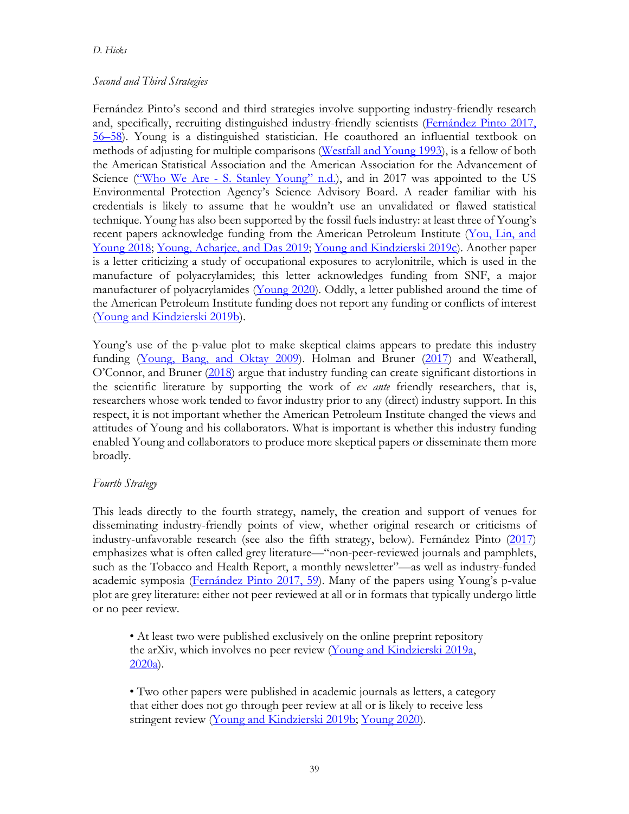## *Second and Third Strategies*

Fernández Pinto's second and third strategies involve supporting industry-friendly research and, specifically, recruiting distinguished industry-friendly scientists (Fernández Pinto 2017, 56–58). Young is a distinguished statistician. He coauthored an influential textbook on methods of adjusting for multiple comparisons (Westfall and Young 1993), is a fellow of both the American Statistical Association and the American Association for the Advancement of Science ("Who We Are - S. Stanley Young" n.d.), and in 2017 was appointed to the US Environmental Protection Agency's Science Advisory Board. A reader familiar with his credentials is likely to assume that he wouldn't use an unvalidated or flawed statistical technique. Young has also been supported by the fossil fuels industry: at least three of Young's recent papers acknowledge funding from the American Petroleum Institute (You, Lin, and Young 2018; Young, Acharjee, and Das 2019; Young and Kindzierski 2019c). Another paper is a letter criticizing a study of occupational exposures to acrylonitrile, which is used in the manufacture of polyacrylamides; this letter acknowledges funding from SNF, a major manufacturer of polyacrylamides (Young 2020). Oddly, a letter published around the time of the American Petroleum Institute funding does not report any funding or conflicts of interest (Young and Kindzierski 2019b).

Young's use of the p-value plot to make skeptical claims appears to predate this industry funding (Young, Bang, and Oktay 2009). Holman and Bruner (2017) and Weatherall, O'Connor, and Bruner (2018) argue that industry funding can create significant distortions in the scientific literature by supporting the work of *ex ante* friendly researchers, that is, researchers whose work tended to favor industry prior to any (direct) industry support. In this respect, it is not important whether the American Petroleum Institute changed the views and attitudes of Young and his collaborators. What is important is whether this industry funding enabled Young and collaborators to produce more skeptical papers or disseminate them more broadly.

# *Fourth Strategy*

This leads directly to the fourth strategy, namely, the creation and support of venues for disseminating industry-friendly points of view, whether original research or criticisms of industry-unfavorable research (see also the fifth strategy, below). Fernández Pinto (2017) emphasizes what is often called grey literature—"non-peer-reviewed journals and pamphlets, such as the Tobacco and Health Report, a monthly newsletter"—as well as industry-funded academic symposia (Fernández Pinto 2017, 59). Many of the papers using Young's p-value plot are grey literature: either not peer reviewed at all or in formats that typically undergo little or no peer review.

• At least two were published exclusively on the online preprint repository the arXiv, which involves no peer review (Young and Kindzierski 2019a, 2020a).

• Two other papers were published in academic journals as letters, a category that either does not go through peer review at all or is likely to receive less stringent review (Young and Kindzierski 2019b; Young 2020).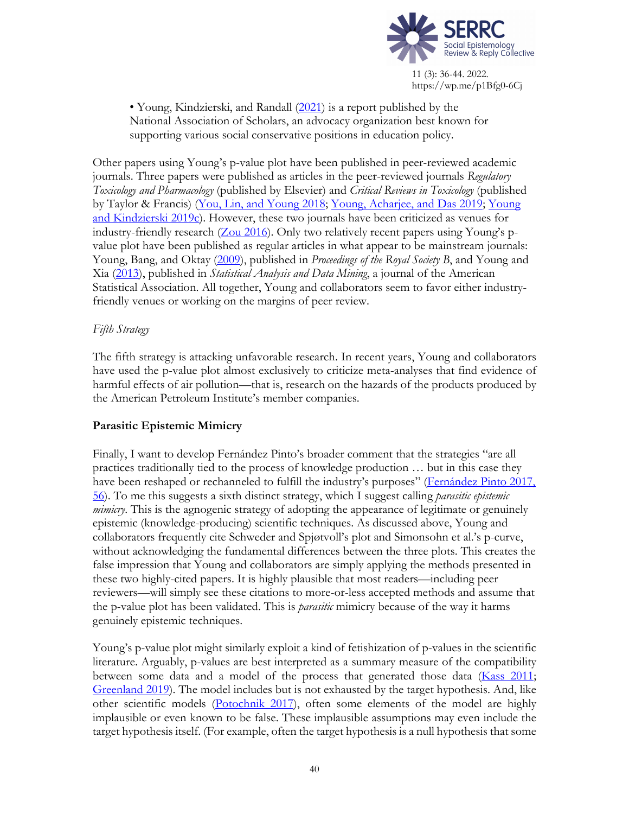

• Young, Kindzierski, and Randall (2021) is a report published by the National Association of Scholars, an advocacy organization best known for supporting various social conservative positions in education policy.

Other papers using Young's p-value plot have been published in peer-reviewed academic journals. Three papers were published as articles in the peer-reviewed journals *Regulatory Toxicology and Pharmacology* (published by Elsevier) and *Critical Reviews in Toxicology* (published by Taylor & Francis) (You, Lin, and Young 2018; Young, Acharjee, and Das 2019; Young and Kindzierski 2019c). However, these two journals have been criticized as venues for industry-friendly research (Zou 2016). Only two relatively recent papers using Young's pvalue plot have been published as regular articles in what appear to be mainstream journals: Young, Bang, and Oktay (2009), published in *Proceedings of the Royal Society B*, and Young and Xia (2013), published in *Statistical Analysis and Data Mining*, a journal of the American Statistical Association. All together, Young and collaborators seem to favor either industryfriendly venues or working on the margins of peer review.

# *Fifth Strategy*

The fifth strategy is attacking unfavorable research. In recent years, Young and collaborators have used the p-value plot almost exclusively to criticize meta-analyses that find evidence of harmful effects of air pollution—that is, research on the hazards of the products produced by the American Petroleum Institute's member companies.

# **Parasitic Epistemic Mimicry**

Finally, I want to develop Fernández Pinto's broader comment that the strategies "are all practices traditionally tied to the process of knowledge production … but in this case they have been reshaped or rechanneled to fulfill the industry's purposes" (Fernández Pinto 2017, 56). To me this suggests a sixth distinct strategy, which I suggest calling *parasitic epistemic mimicry*. This is the agnogenic strategy of adopting the appearance of legitimate or genuinely epistemic (knowledge-producing) scientific techniques. As discussed above, Young and collaborators frequently cite Schweder and Spjøtvoll's plot and Simonsohn et al.'s p-curve, without acknowledging the fundamental differences between the three plots. This creates the false impression that Young and collaborators are simply applying the methods presented in these two highly-cited papers. It is highly plausible that most readers—including peer reviewers—will simply see these citations to more-or-less accepted methods and assume that the p-value plot has been validated. This is *parasitic* mimicry because of the way it harms genuinely epistemic techniques.

Young's p-value plot might similarly exploit a kind of fetishization of p-values in the scientific literature. Arguably, p-values are best interpreted as a summary measure of the compatibility between some data and a model of the process that generated those data (Kass 2011; Greenland 2019). The model includes but is not exhausted by the target hypothesis. And, like other scientific models (Potochnik 2017), often some elements of the model are highly implausible or even known to be false. These implausible assumptions may even include the target hypothesis itself. (For example, often the target hypothesis is a null hypothesis that some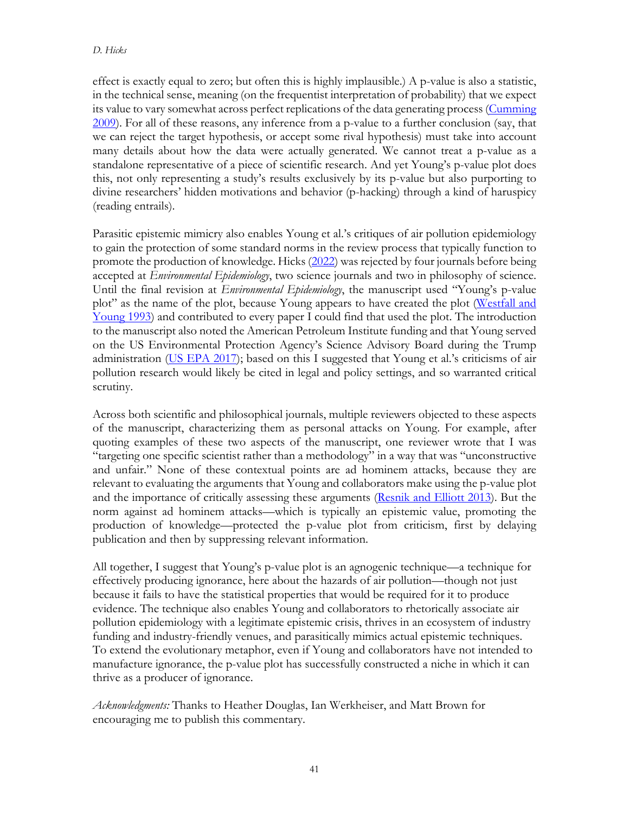effect is exactly equal to zero; but often this is highly implausible.) A p-value is also a statistic, in the technical sense, meaning (on the frequentist interpretation of probability) that we expect its value to vary somewhat across perfect replications of the data generating process (Cumming 2009). For all of these reasons, any inference from a p-value to a further conclusion (say, that we can reject the target hypothesis, or accept some rival hypothesis) must take into account many details about how the data were actually generated. We cannot treat a p-value as a standalone representative of a piece of scientific research. And yet Young's p-value plot does this, not only representing a study's results exclusively by its p-value but also purporting to divine researchers' hidden motivations and behavior (p-hacking) through a kind of haruspicy (reading entrails).

Parasitic epistemic mimicry also enables Young et al.'s critiques of air pollution epidemiology to gain the protection of some standard norms in the review process that typically function to promote the production of knowledge. Hicks (2022) was rejected by four journals before being accepted at *Environmental Epidemiology*, two science journals and two in philosophy of science. Until the final revision at *Environmental Epidemiology*, the manuscript used "Young's p-value plot" as the name of the plot, because Young appears to have created the plot (Westfall and Young 1993) and contributed to every paper I could find that used the plot. The introduction to the manuscript also noted the American Petroleum Institute funding and that Young served on the US Environmental Protection Agency's Science Advisory Board during the Trump administration (US EPA 2017); based on this I suggested that Young et al.'s criticisms of air pollution research would likely be cited in legal and policy settings, and so warranted critical scrutiny.

Across both scientific and philosophical journals, multiple reviewers objected to these aspects of the manuscript, characterizing them as personal attacks on Young. For example, after quoting examples of these two aspects of the manuscript, one reviewer wrote that I was "targeting one specific scientist rather than a methodology" in a way that was "unconstructive and unfair." None of these contextual points are ad hominem attacks, because they are relevant to evaluating the arguments that Young and collaborators make using the p-value plot and the importance of critically assessing these arguments (Resnik and Elliott 2013). But the norm against ad hominem attacks—which is typically an epistemic value, promoting the production of knowledge—protected the p-value plot from criticism, first by delaying publication and then by suppressing relevant information.

All together, I suggest that Young's p-value plot is an agnogenic technique—a technique for effectively producing ignorance, here about the hazards of air pollution—though not just because it fails to have the statistical properties that would be required for it to produce evidence. The technique also enables Young and collaborators to rhetorically associate air pollution epidemiology with a legitimate epistemic crisis, thrives in an ecosystem of industry funding and industry-friendly venues, and parasitically mimics actual epistemic techniques. To extend the evolutionary metaphor, even if Young and collaborators have not intended to manufacture ignorance, the p-value plot has successfully constructed a niche in which it can thrive as a producer of ignorance.

*Acknowledgments:* Thanks to Heather Douglas, Ian Werkheiser, and Matt Brown for encouraging me to publish this commentary.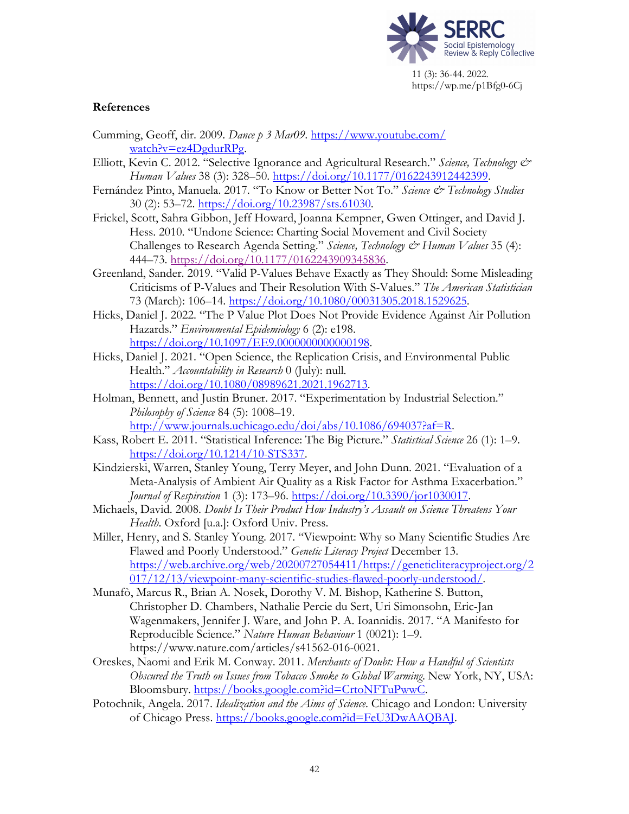

### **References**

- Cumming, Geoff, dir. 2009. *Dance p 3 Mar09*. https://www.youtube.com/ watch?v=ez4DgdurRPg.
- Elliott, Kevin C. 2012. "Selective Ignorance and Agricultural Research." *Science, Technology & Human Values* 38 (3): 328–50. https://doi.org/10.1177/0162243912442399.
- Fernández Pinto, Manuela. 2017. "To Know or Better Not To." Science & Technology Studies 30 (2): 53–72. https://doi.org/10.23987/sts.61030.
- Frickel, Scott, Sahra Gibbon, Jeff Howard, Joanna Kempner, Gwen Ottinger, and David J. Hess. 2010. "Undone Science: Charting Social Movement and Civil Society Challenges to Research Agenda Setting." *Science, Technology & Human Values* 35 (4): 444–73. https://doi.org/10.1177/0162243909345836.
- Greenland, Sander. 2019. "Valid P-Values Behave Exactly as They Should: Some Misleading Criticisms of P-Values and Their Resolution With S-Values." *The American Statistician* 73 (March): 106–14. https://doi.org/10.1080/00031305.2018.1529625.
- Hicks, Daniel J. 2022. "The P Value Plot Does Not Provide Evidence Against Air Pollution Hazards." *Environmental Epidemiology* 6 (2): e198. https://doi.org/10.1097/EE9.0000000000000198.
- Hicks, Daniel J. 2021. "Open Science, the Replication Crisis, and Environmental Public Health." *Accountability in Research* 0 (July): null. https://doi.org/10.1080/08989621.2021.1962713.
- Holman, Bennett, and Justin Bruner. 2017. "Experimentation by Industrial Selection." *Philosophy of Science* 84 (5): 1008–19. http://www.journals.uchicago.edu/doi/abs/10.1086/694037?af=R.
- Kass, Robert E. 2011. "Statistical Inference: The Big Picture." *Statistical Science* 26 (1): 1–9. https://doi.org/10.1214/10-STS337.
- Kindzierski, Warren, Stanley Young, Terry Meyer, and John Dunn. 2021. "Evaluation of a Meta-Analysis of Ambient Air Quality as a Risk Factor for Asthma Exacerbation." *Journal of Respiration* 1 (3): 173–96. https://doi.org/10.3390/jor1030017.
- Michaels, David. 2008. *Doubt Is Their Product How Industry's Assault on Science Threatens Your Health*. Oxford [u.a.]: Oxford Univ. Press.
- Miller, Henry, and S. Stanley Young. 2017. "Viewpoint: Why so Many Scientific Studies Are Flawed and Poorly Understood." *Genetic Literacy Project* December 13. https://web.archive.org/web/20200727054411/https://geneticliteracyproject.org/2 017/12/13/viewpoint-many-scientific-studies-flawed-poorly-understood/.
- Munafò, Marcus R., Brian A. Nosek, Dorothy V. M. Bishop, Katherine S. Button, Christopher D. Chambers, Nathalie Percie du Sert, Uri Simonsohn, Eric-Jan Wagenmakers, Jennifer J. Ware, and John P. A. Ioannidis. 2017. "A Manifesto for Reproducible Science." *Nature Human Behaviour* 1 (0021): 1–9. https://www.nature.com/articles/s41562-016-0021.
- Oreskes, Naomi and Erik M. Conway. 2011. *Merchants of Doubt: How a Handful of Scientists Obscured the Truth on Issues from Tobacco Smoke to Global Warming*. New York, NY, USA: Bloomsbury. https://books.google.com?id=CrtoNFTuPwwC.
- Potochnik, Angela. 2017. *Idealization and the Aims of Science*. Chicago and London: University of Chicago Press. https://books.google.com?id=FeU3DwAAQBAJ.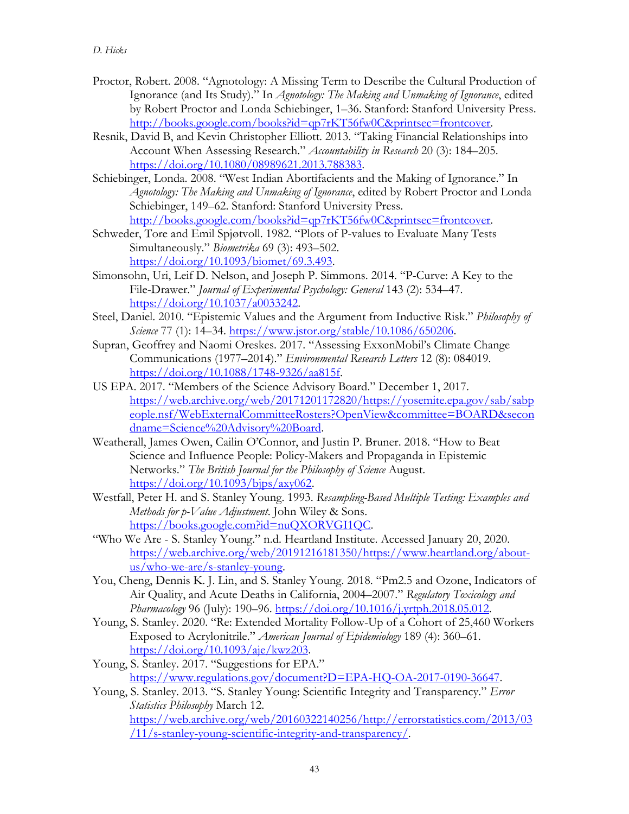- Proctor, Robert. 2008. "Agnotology: A Missing Term to Describe the Cultural Production of Ignorance (and Its Study)." In *Agnotology: The Making and Unmaking of Ignorance*, edited by Robert Proctor and Londa Schiebinger, 1–36. Stanford: Stanford University Press. http://books.google.com/books?id=qp7rKT56fw0C&printsec=frontcover.
- Resnik, David B, and Kevin Christopher Elliott. 2013. "Taking Financial Relationships into Account When Assessing Research." *Accountability in Research* 20 (3): 184–205. https://doi.org/10.1080/08989621.2013.788383.
- Schiebinger, Londa. 2008. "West Indian Abortifacients and the Making of Ignorance." In *Agnotology: The Making and Unmaking of Ignorance*, edited by Robert Proctor and Londa Schiebinger, 149–62. Stanford: Stanford University Press. http://books.google.com/books?id=qp7rKT56fw0C&printsec=frontcover.
- Schweder, Tore and Emil Spjøtvoll. 1982. "Plots of P-values to Evaluate Many Tests Simultaneously." *Biometrika* 69 (3): 493–502. https://doi.org/10.1093/biomet/69.3.493.
- Simonsohn, Uri, Leif D. Nelson, and Joseph P. Simmons. 2014. "P-Curve: A Key to the File-Drawer." *Journal of Experimental Psychology: General* 143 (2): 534–47. https://doi.org/10.1037/a0033242.
- Steel, Daniel. 2010. "Epistemic Values and the Argument from Inductive Risk." *Philosophy of Science* 77 (1): 14–34. https://www.jstor.org/stable/10.1086/650206.
- Supran, Geoffrey and Naomi Oreskes. 2017. "Assessing ExxonMobil's Climate Change Communications (1977–2014)." *Environmental Research Letters* 12 (8): 084019. https://doi.org/10.1088/1748-9326/aa815f.
- US EPA. 2017. "Members of the Science Advisory Board." December 1, 2017. https://web.archive.org/web/20171201172820/https://yosemite.epa.gov/sab/sabp eople.nsf/WebExternalCommitteeRosters?OpenView&committee=BOARD&secon dname=Science%20Advisory%20Board.
- Weatherall, James Owen, Cailin O'Connor, and Justin P. Bruner. 2018. "How to Beat Science and Influence People: Policy-Makers and Propaganda in Epistemic Networks." *The British Journal for the Philosophy of Science* August. https://doi.org/10.1093/bjps/axy062.
- Westfall, Peter H. and S. Stanley Young. 1993. *Resampling-Based Multiple Testing: Examples and Methods for p-Value Adjustment*. John Wiley & Sons. https://books.google.com?id=nuQXORVGI1QC.
- "Who We Are S. Stanley Young." n.d. Heartland Institute. Accessed January 20, 2020. https://web.archive.org/web/20191216181350/https://www.heartland.org/aboutus/who-we-are/s-stanley-young.
- You, Cheng, Dennis K. J. Lin, and S. Stanley Young. 2018. "Pm2.5 and Ozone, Indicators of Air Quality, and Acute Deaths in California, 2004–2007." *Regulatory Toxicology and Pharmacology* 96 (July): 190–96. https://doi.org/10.1016/j.yrtph.2018.05.012.
- Young, S. Stanley. 2020. "Re: Extended Mortality Follow-Up of a Cohort of 25,460 Workers Exposed to Acrylonitrile." *American Journal of Epidemiology* 189 (4): 360–61. https://doi.org/10.1093/aje/kwz203.
- Young, S. Stanley. 2017. "Suggestions for EPA." https://www.regulations.gov/document?D=EPA-HQ-OA-2017-0190-36647.
- Young, S. Stanley. 2013. "S. Stanley Young: Scientific Integrity and Transparency." *Error Statistics Philosophy* March 12. https://web.archive.org/web/20160322140256/http://errorstatistics.com/2013/03 /11/s-stanley-young-scientific-integrity-and-transparency/.